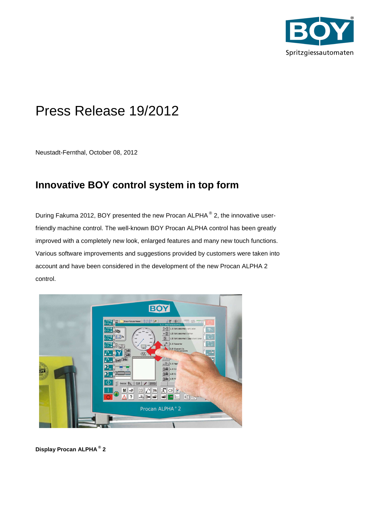

# Press Release 19/2012

Neustadt-Fernthal, October 08, 2012

## **Innovative BOY control system in top form**

During Fakuma 2012, BOY presented the new Procan ALPHA<sup>®</sup> 2, the innovative userfriendly machine control. The well-known BOY Procan ALPHA control has been greatly improved with a completely new look, enlarged features and many new touch functions. Various software improvements and suggestions provided by customers were taken into account and have been considered in the development of the new Procan ALPHA 2 control.



**Display Procan ALPHA ® 2**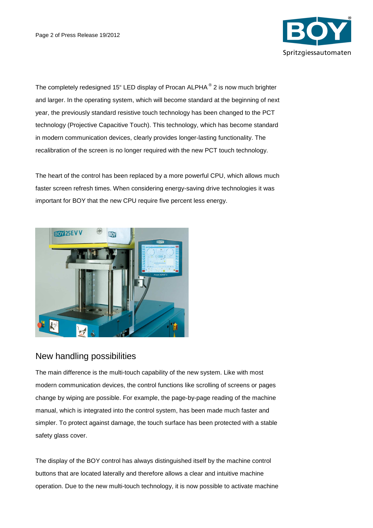

The completely redesigned 15" LED display of Procan ALPHA<sup>®</sup> 2 is now much brighter and larger. In the operating system, which will become standard at the beginning of next year, the previously standard resistive touch technology has been changed to the PCT technology (Projective Capacitive Touch). This technology, which has become standard in modern communication devices, clearly provides longer-lasting functionality. The recalibration of the screen is no longer required with the new PCT touch technology.

The heart of the control has been replaced by a more powerful CPU, which allows much faster screen refresh times. When considering energy-saving drive technologies it was important for BOY that the new CPU require five percent less energy.



## New handling possibilities

The main difference is the multi-touch capability of the new system. Like with most modern communication devices, the control functions like scrolling of screens or pages change by wiping are possible. For example, the page-by-page reading of the machine manual, which is integrated into the control system, has been made much faster and simpler. To protect against damage, the touch surface has been protected with a stable safety glass cover.

The display of the BOY control has always distinguished itself by the machine control buttons that are located laterally and therefore allows a clear and intuitive machine operation. Due to the new multi-touch technology, it is now possible to activate machine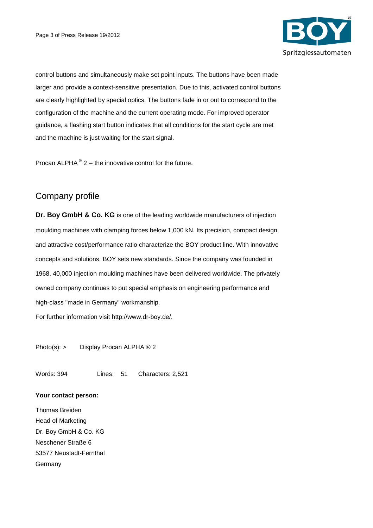

control buttons and simultaneously make set point inputs. The buttons have been made larger and provide a context-sensitive presentation. Due to this, activated control buttons are clearly highlighted by special optics. The buttons fade in or out to correspond to the configuration of the machine and the current operating mode. For improved operator guidance, a flashing start button indicates that all conditions for the start cycle are met and the machine is just waiting for the start signal.

Procan ALPHA $^{\circ}$  2 – the innovative control for the future.

## Company profile

**Dr. Boy GmbH & Co. KG** is one of the leading worldwide manufacturers of injection moulding machines with clamping forces below 1,000 kN. Its precision, compact design, and attractive cost/performance ratio characterize the BOY product line. With innovative concepts and solutions, BOY sets new standards. Since the company was founded in 1968, 40,000 injection moulding machines have been delivered worldwide. The privately owned company continues to put special emphasis on engineering performance and high-class "made in Germany" workmanship.

For further information visit http://www.dr-boy.de/.

Photo(s): > Display Procan ALPHA ® 2

Words: 394 Lines: 51 Characters: 2,521

#### **Your contact person:**

Thomas Breiden Head of Marketing Dr. Boy GmbH & Co. KG Neschener Straße 6 53577 Neustadt-Fernthal Germany